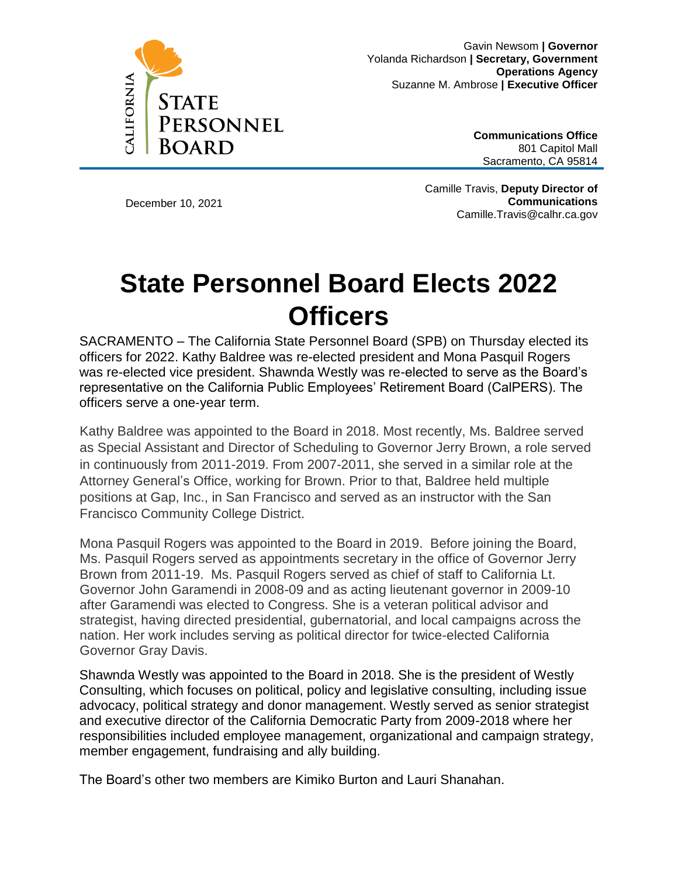

Gavin Newsom **| Governor**  Yolanda Richardson **| Secretary, Government Operations Agency**  Suzanne M. Ambrose **| Executive Officer** 

> **Communications Office**  801 Capitol Mall Sacramento, CA 95814

December 10, 2021

Camille Travis, **Deputy Director of Communications** Camille.Travis@calhr.ca.gov

## **State Personnel Board Elects 2022 Officers**

SACRAMENTO – The California State Personnel Board (SPB) on Thursday elected its officers for 2022. Kathy Baldree was re-elected president and Mona Pasquil Rogers was re-elected vice president. Shawnda Westly was re-elected to serve as the Board's representative on the California Public Employees' Retirement Board (CalPERS). The officers serve a one‐year term.

Kathy Baldree was appointed to the Board in 2018. Most recently, Ms. Baldree served as Special Assistant and Director of Scheduling to Governor Jerry Brown, a role served in continuously from 2011-2019. From 2007-2011, she served in a similar role at the Attorney General's Office, working for Brown. Prior to that, Baldree held multiple positions at Gap, Inc., in San Francisco and served as an instructor with the San Francisco Community College District.

Mona Pasquil Rogers was appointed to the Board in 2019. Before joining the Board, Ms. Pasquil Rogers served as appointments secretary in the office of Governor Jerry Brown from 2011-19. Ms. Pasquil Rogers served as chief of staff to California Lt. Governor John Garamendi in 2008-09 and as acting lieutenant governor in 2009-10 after Garamendi was elected to Congress. She is a veteran political advisor and strategist, having directed presidential, gubernatorial, and local campaigns across the nation. Her work includes serving as political director for twice-elected California Governor Gray Davis.

Shawnda Westly was appointed to the Board in 2018. She is the president of Westly Consulting, which focuses on political, policy and legislative consulting, including issue advocacy, political strategy and donor management. Westly served as senior strategist and executive director of the California Democratic Party from 2009-2018 where her responsibilities included employee management, organizational and campaign strategy, member engagement, fundraising and ally building.

The Board's other two members are Kimiko Burton and Lauri Shanahan.